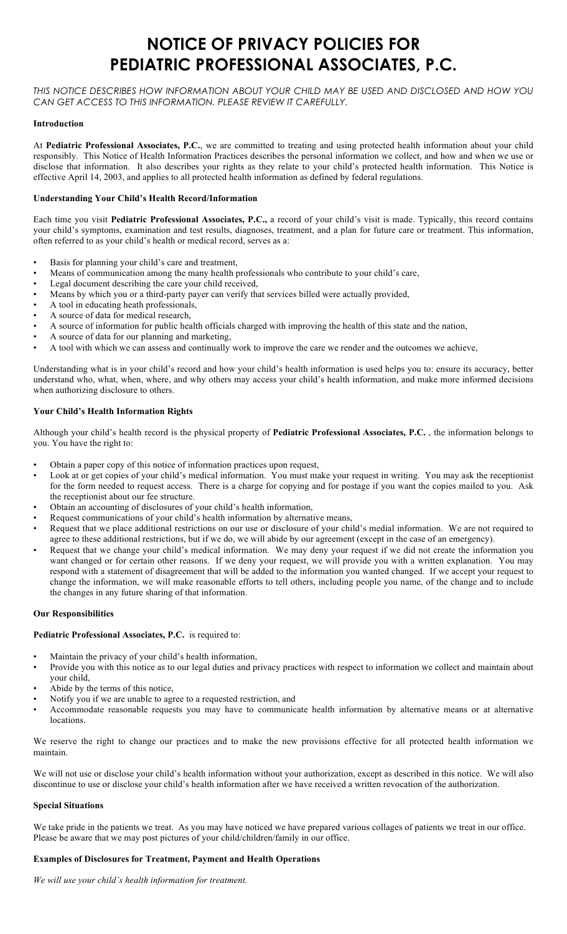# **NOTICE OF PRIVACY POLICIES FOR PEDIATRIC PROFESSIONAL ASSOCIATES, P.C.**

*THIS NOTICE DESCRIBES HOW INFORMATION ABOUT YOUR CHILD MAY BE USED AND DISCLOSED AND HOW YOU CAN GET ACCESS TO THIS INFORMATION. PLEASE REVIEW IT CAREFULLY.*

### **Introduction**

At **Pediatric Professional Associates, P.C.**, we are committed to treating and using protected health information about your child responsibly. This Notice of Health Information Practices describes the personal information we collect, and how and when we use or disclose that information. It also describes your rights as they relate to your child's protected health information. This Notice is effective April 14, 2003, and applies to all protected health information as defined by federal regulations.

## **Understanding Your Child's Health Record/Information**

Each time you visit **Pediatric Professional Associates, P.C.,** a record of your child's visit is made. Typically, this record contains your child's symptoms, examination and test results, diagnoses, treatment, and a plan for future care or treatment. This information, often referred to as your child's health or medical record, serves as a:

- Basis for planning your child's care and treatment,
- Means of communication among the many health professionals who contribute to your child's care,
- Legal document describing the care your child received,
- Means by which you or a third-party payer can verify that services billed were actually provided,
- A tool in educating heath professionals,
- A source of data for medical research,
- A source of information for public health officials charged with improving the health of this state and the nation,
- A source of data for our planning and marketing,
- A tool with which we can assess and continually work to improve the care we render and the outcomes we achieve,

Understanding what is in your child's record and how your child's health information is used helps you to: ensure its accuracy, better understand who, what, when, where, and why others may access your child's health information, and make more informed decisions when authorizing disclosure to others.

## **Your Child's Health Information Rights**

Although your child's health record is the physical property of **Pediatric Professional Associates, P.C.** , the information belongs to you. You have the right to:

- Obtain a paper copy of this notice of information practices upon request,
- Look at or get copies of your child's medical information. You must make your request in writing. You may ask the receptionist for the form needed to request access. There is a charge for copying and for postage if you want the copies mailed to you. Ask the receptionist about our fee structure.
- Obtain an accounting of disclosures of your child's health information,
- Request communications of your child's health information by alternative means,
- Request that we place additional restrictions on our use or disclosure of your child's medial information. We are not required to agree to these additional restrictions, but if we do, we will abide by our agreement (except in the case of an emergency).
- Request that we change your child's medical information. We may deny your request if we did not create the information you want changed or for certain other reasons. If we deny your request, we will provide you with a written explanation. You may respond with a statement of disagreement that will be added to the information you wanted changed. If we accept your request to change the information, we will make reasonable efforts to tell others, including people you name, of the change and to include the changes in any future sharing of that information.

#### **Our Responsibilities**

#### **Pediatric Professional Associates, P.C.** is required to:

- Maintain the privacy of your child's health information,
- Provide you with this notice as to our legal duties and privacy practices with respect to information we collect and maintain about your child,
- Abide by the terms of this notice,
- Notify you if we are unable to agree to a requested restriction, and
- Accommodate reasonable requests you may have to communicate health information by alternative means or at alternative locations.

We reserve the right to change our practices and to make the new provisions effective for all protected health information we maintain.

We will not use or disclose your child's health information without your authorization, except as described in this notice. We will also discontinue to use or disclose your child's health information after we have received a written revocation of the authorization.

#### **Special Situations**

We take pride in the patients we treat. As you may have noticed we have prepared various collages of patients we treat in our office. Please be aware that we may post pictures of your child/children/family in our office.

## **Examples of Disclosures for Treatment, Payment and Health Operations**

*We will use your child's health information for treatment.*